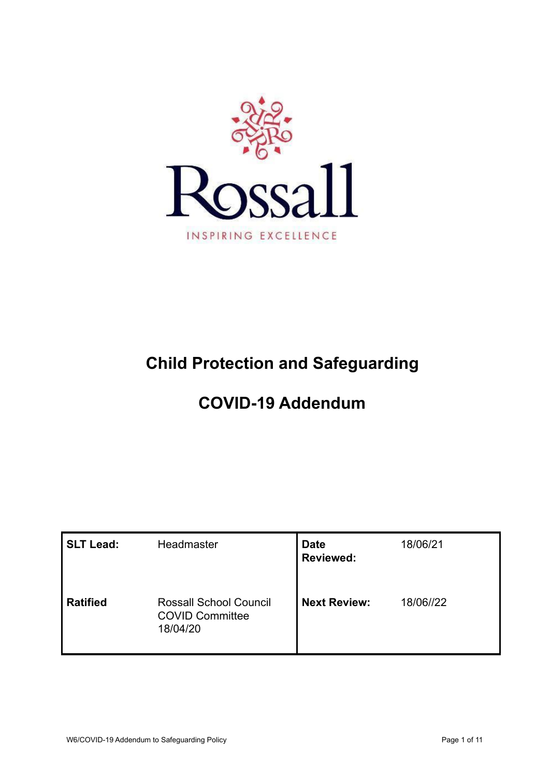

# **Child Protection and Safeguarding**

# **COVID-19 Addendum**

| SLT Lead:  | Headmaster                                                          | <b>Date</b><br><b>Reviewed:</b> | 18/06/21  |
|------------|---------------------------------------------------------------------|---------------------------------|-----------|
| l Ratified | <b>Rossall School Council</b><br><b>COVID Committee</b><br>18/04/20 | <b>Next Review:</b>             | 18/06//22 |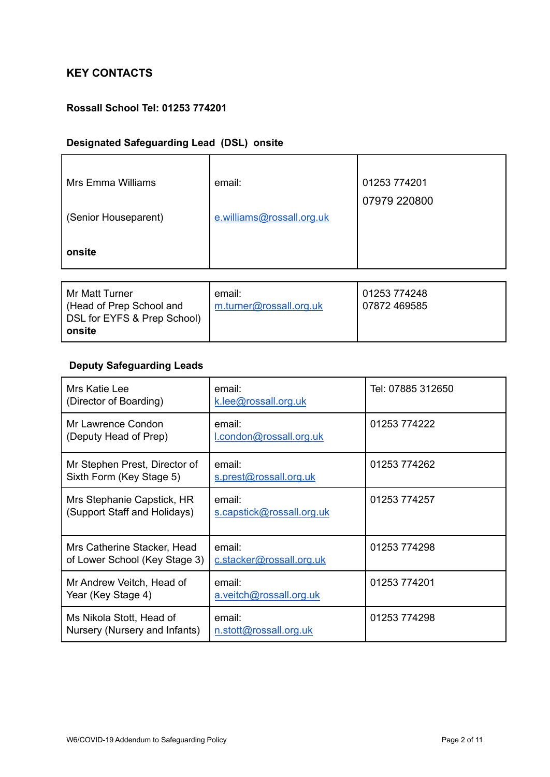# **KEY CONTACTS**

### **Rossall School Tel: 01253 774201**

# **Designated Safeguarding Lead (DSL) onsite**

| Mrs Emma Williams    | email:                    | 01253 774201 |  |
|----------------------|---------------------------|--------------|--|
|                      |                           | 07979 220800 |  |
| (Senior Houseparent) | e.williams@rossall.org.uk |              |  |
|                      |                           |              |  |
| onsite               |                           |              |  |
|                      |                           |              |  |

| Mr Matt Turner              | email:                  | 01253 774248   |
|-----------------------------|-------------------------|----------------|
| Head of Prep School and     | m.turner@rossall.org.uk | l 07872 469585 |
| DSL for EYFS & Prep School) |                         |                |
| ∣ onsite                    |                         |                |

# **Deputy Safeguarding Leads**

| Mrs Katie Lee<br>(Director of Boarding)                      | email:<br>k.lee@rossall.org.uk      | Tel: 07885 312650 |
|--------------------------------------------------------------|-------------------------------------|-------------------|
| Mr Lawrence Condon<br>(Deputy Head of Prep)                  | email:<br>l.condon@rossall.org.uk   | 01253 774222      |
| Mr Stephen Prest, Director of<br>Sixth Form (Key Stage 5)    | email:<br>s.prest@rossall.org.uk    | 01253 774262      |
| Mrs Stephanie Capstick, HR<br>(Support Staff and Holidays)   | email:<br>s.capstick@rossall.org.uk | 01253 774257      |
| Mrs Catherine Stacker, Head<br>of Lower School (Key Stage 3) | email:<br>c.stacker@rossall.org.uk  | 01253 774298      |
| Mr Andrew Veitch, Head of<br>Year (Key Stage 4)              | email:<br>a.veitch@rossall.org.uk   | 01253 774201      |
| Ms Nikola Stott, Head of<br>Nursery (Nursery and Infants)    | email:<br>n.stott@rossall.org.uk    | 01253 774298      |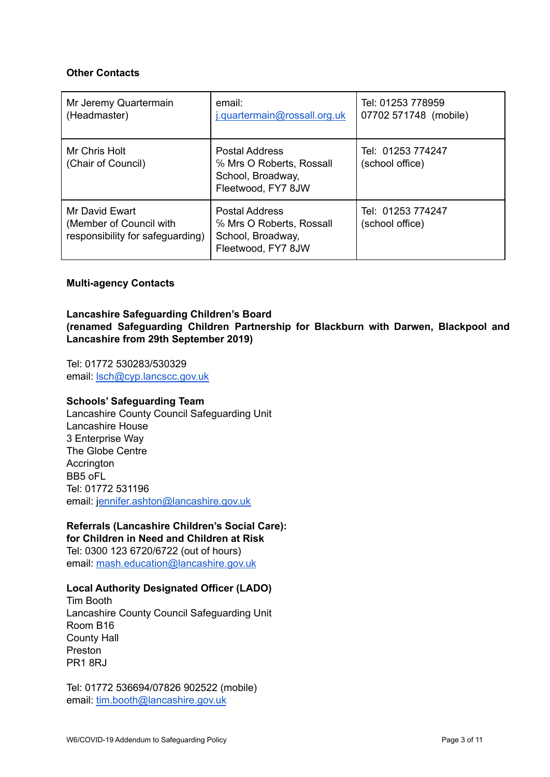#### **Other Contacts**

| Mr Jeremy Quartermain<br>(Headmaster)                                         | email:<br>j.quartermain@rossall.org.uk                                                       | Tel: 01253 778959<br>07702 571748 (mobile) |
|-------------------------------------------------------------------------------|----------------------------------------------------------------------------------------------|--------------------------------------------|
| Mr Chris Holt<br>(Chair of Council)                                           | <b>Postal Address</b><br>% Mrs O Roberts, Rossall<br>School, Broadway,<br>Fleetwood, FY7 8JW | Tel: 01253 774247<br>(school office)       |
| Mr David Ewart<br>(Member of Council with<br>responsibility for safeguarding) | <b>Postal Address</b><br>% Mrs O Roberts, Rossall<br>School, Broadway,<br>Fleetwood, FY7 8JW | Tel: 01253 774247<br>(school office)       |

#### **Multi-agency Contacts**

#### **Lancashire Safeguarding Children's Board (renamed Safeguarding Children Partnership for Blackburn with Darwen, Blackpool and Lancashire from 29th September 2019)**

Tel: 01772 530283/530329 email: [lsch@cyp.lancscc.gov.uk](mailto:lsch@cyp.lancscc.gov.uk)

#### **Schools' Safeguarding Team**

Lancashire County Council Safeguarding Unit Lancashire House 3 Enterprise Way The Globe Centre **Accrington** BB5 oFL Tel: 01772 531196 email: j[ennifer.ashton@lancashire.gov.uk](mailto:Jennifer.ashton@lancashire.gov.uk)

# **Referrals (Lancashire Children's Social Care):**

**for Children in Need and Children at Risk** Tel: 0300 123 6720/6722 (out of hours) email: [mash.education@lancashire.gov.uk](mailto:mash.education@lancashire.gov.uk)

#### **Local Authority Designated Officer (LADO)**

Tim Booth Lancashire County Council Safeguarding Unit Room B16 County Hall Preston PR1 8RJ

Tel: 01772 536694/07826 902522 (mobile) email: [tim.booth@lancashire.gov.uk](mailto:tim.booth@lancashire.gov.uk)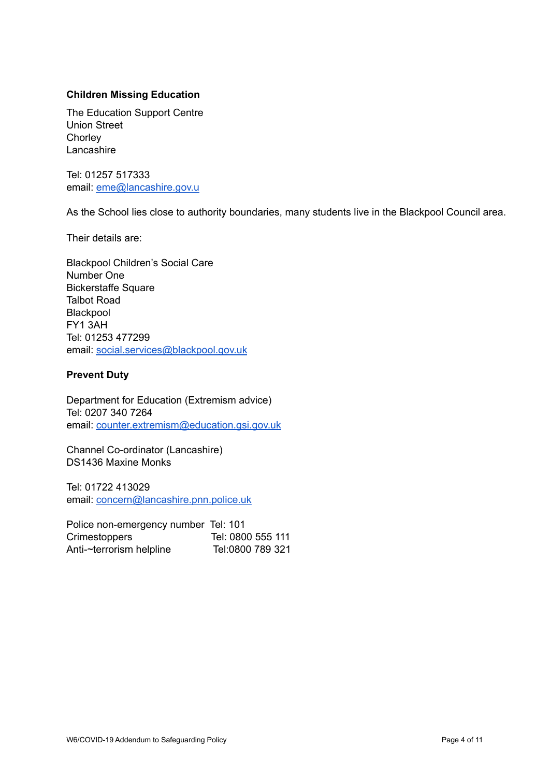### **Children Missing Education**

The Education Support Centre Union Street **Chorley** Lancashire

Tel: 01257 517333 email: [eme@lancashire.gov.u](mailto:eme@lancashire.gov.uk)

As the School lies close to authority boundaries, many students live in the Blackpool Council area.

Their details are:

Blackpool Children's Social Care Number One Bickerstaffe Square Talbot Road Blackpool FY1 3AH Tel: 01253 477299 email: [social.services@blackpool.gov.uk](mailto:social.services@blackpool.gov.uk)

#### **Prevent Duty**

Department for Education (Extremism advice) Tel: 0207 340 7264 email: [counter.extremism@education.gsi.gov.uk](mailto:counter.extremism@education.gsi.gov.uk)

Channel Co-ordinator (Lancashire) DS1436 Maxine Monks

Tel: 01722 413029 email: [concern@lancashire.pnn.police.uk](mailto:concern@lancashire.pnn.police.uk)

Police non-emergency number Tel: 101 Crimestoppers Tel: 0800 555 111 Anti-~terrorism helpline Tel:0800 789 321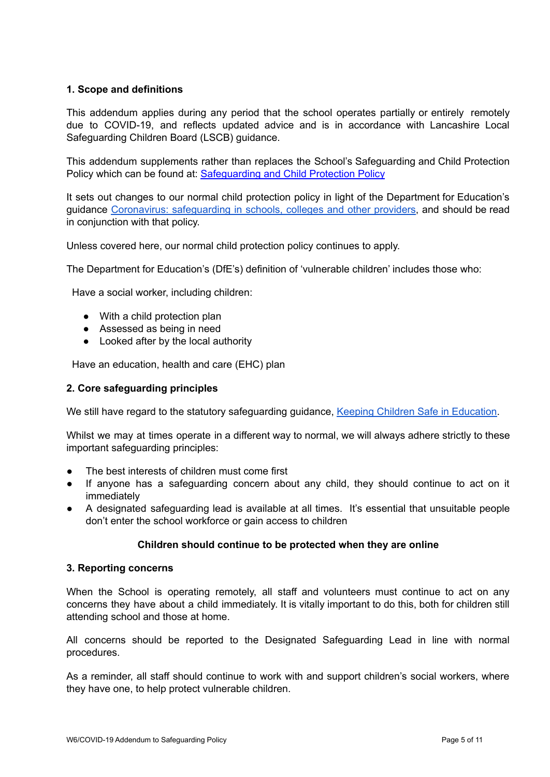#### **1. Scope and definitions**

This addendum applies during any period that the school operates partially or entirely remotely due to COVID-19, and reflects updated advice and is in accordance with Lancashire Local Safeguarding Children Board (LSCB) guidance.

This addendum supplements rather than replaces the School's Safeguarding and Child Protection Policy which can be found at: [Safeguarding](https://www.rossall.org.uk/wp-content/uploads/2020/04/W6-Safeguarding-and-Child-Protection-Policy-ratified-27.11.19.pdf) and Child Protection Policy

It sets out changes to our normal child protection policy in light of the Department for Education's guidance Coronavirus: [safeguarding](https://www.gov.uk/government/publications/covid-19-safeguarding-in-schools-colleges-and-other-providers) in schools, colleges and other providers, and should be read in conjunction with that policy.

Unless covered here, our normal child protection policy continues to apply.

The Department for Education's (DfE's) definition of 'vulnerable children' includes those who:

Have a social worker, including children:

- With a child protection plan
- Assessed as being in need
- Looked after by the local authority

Have an education, health and care (EHC) plan

#### **2. Core safeguarding principles**

We still have regard to the statutory safeguarding guidance, Keeping Children Safe in [Education.](https://www.gov.uk/government/publications/keeping-children-safe-in-education--2)

Whilst we may at times operate in a different way to normal, we will always adhere strictly to these important safeguarding principles:

- The best interests of children must come first
- If anyone has a safeguarding concern about any child, they should continue to act on it immediately
- A designated safeguarding lead is available at all times. It's essential that unsuitable people don't enter the school workforce or gain access to children

#### **Children should continue to be protected when they are online**

#### **3. Reporting concerns**

When the School is operating remotely, all staff and volunteers must continue to act on any concerns they have about a child immediately. It is vitally important to do this, both for children still attending school and those at home.

All concerns should be reported to the Designated Safeguarding Lead in line with normal procedures.

As a reminder, all staff should continue to work with and support children's social workers, where they have one, to help protect vulnerable children.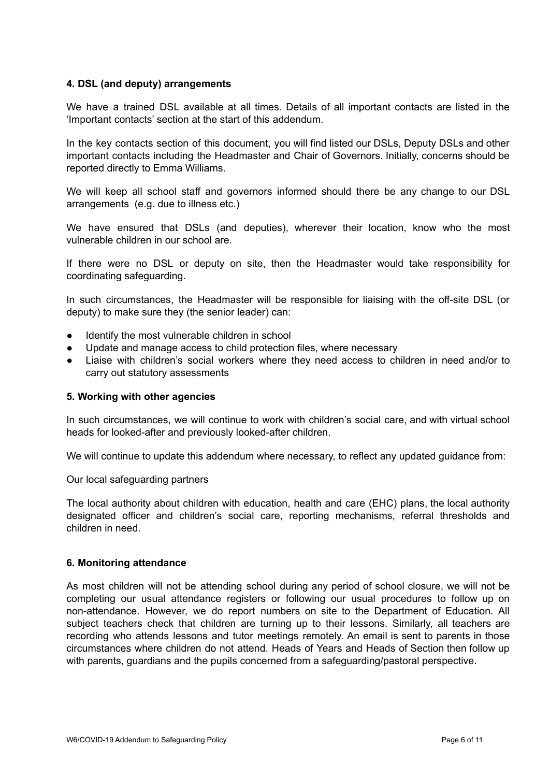#### **4. DSL (and deputy) arrangements**

We have a trained DSL available at all times. Details of all important contacts are listed in the 'Important contacts' section at the start of this addendum.

In the key contacts section of this document, you will find listed our DSLs, Deputy DSLs and other important contacts including the Headmaster and Chair of Governors. Initially, concerns should be reported directly to Emma Williams.

We will keep all school staff and governors informed should there be any change to our DSL arrangements (e.g. due to illness etc.)

We have ensured that DSLs (and deputies), wherever their location, know who the most vulnerable children in our school are.

If there were no DSL or deputy on site, then the Headmaster would take responsibility for coordinating safeguarding.

In such circumstances, the Headmaster will be responsible for liaising with the off-site DSL (or deputy) to make sure they (the senior leader) can:

- Identify the most vulnerable children in school
- Update and manage access to child protection files, where necessary
- Liaise with children's social workers where they need access to children in need and/or to carry out statutory assessments

#### **5. Working with other agencies**

In such circumstances, we will continue to work with children's social care, and with virtual school heads for looked-after and previously looked-after children.

We will continue to update this addendum where necessary, to reflect any updated quidance from:

Our local safeguarding partners

The local authority about children with education, health and care (EHC) plans, the local authority designated officer and children's social care, reporting mechanisms, referral thresholds and children in need.

#### **6. Monitoring attendance**

As most children will not be attending school during any period of school closure, we will not be completing our usual attendance registers or following our usual procedures to follow up on non-attendance. However, we do report numbers on site to the Department of Education. All subject teachers check that children are turning up to their lessons. Similarly, all teachers are recording who attends lessons and tutor meetings remotely. An email is sent to parents in those circumstances where children do not attend. Heads of Years and Heads of Section then follow up with parents, guardians and the pupils concerned from a safeguarding/pastoral perspective.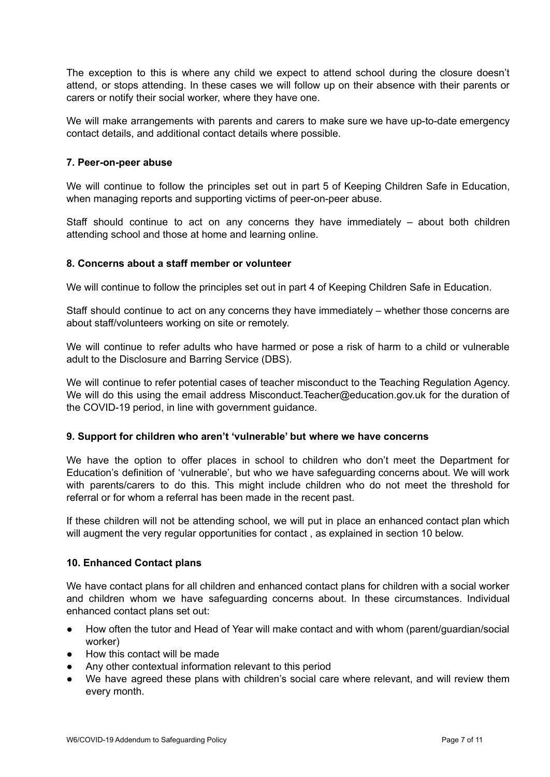The exception to this is where any child we expect to attend school during the closure doesn't attend, or stops attending. In these cases we will follow up on their absence with their parents or carers or notify their social worker, where they have one.

We will make arrangements with parents and carers to make sure we have up-to-date emergency contact details, and additional contact details where possible.

#### **7. Peer-on-peer abuse**

We will continue to follow the principles set out in part 5 of Keeping Children Safe in Education, when managing reports and supporting victims of peer-on-peer abuse.

Staff should continue to act on any concerns they have immediately – about both children attending school and those at home and learning online.

#### **8. Concerns about a staff member or volunteer**

We will continue to follow the principles set out in part 4 of Keeping Children Safe in Education.

Staff should continue to act on any concerns they have immediately – whether those concerns are about staff/volunteers working on site or remotely.

We will continue to refer adults who have harmed or pose a risk of harm to a child or vulnerable adult to the Disclosure and Barring Service (DBS).

We will continue to refer potential cases of teacher misconduct to the Teaching Regulation Agency. We will do this using the email address Misconduct. Teacher@education.gov.uk for the duration of the COVID-19 period, in line with government guidance.

#### **9. Support for children who aren't 'vulnerable' but where we have concerns**

We have the option to offer places in school to children who don't meet the Department for Education's definition of 'vulnerable', but who we have safeguarding concerns about. We will work with parents/carers to do this. This might include children who do not meet the threshold for referral or for whom a referral has been made in the recent past.

If these children will not be attending school, we will put in place an enhanced contact plan which will augment the very regular opportunities for contact , as explained in section 10 below.

#### **10. Enhanced Contact plans**

We have contact plans for all children and enhanced contact plans for children with a social worker and children whom we have safeguarding concerns about. In these circumstances. Individual enhanced contact plans set out:

- How often the tutor and Head of Year will make contact and with whom (parent/guardian/social worker)
- How this contact will be made
- Any other contextual information relevant to this period
- We have agreed these plans with children's social care where relevant, and will review them every month.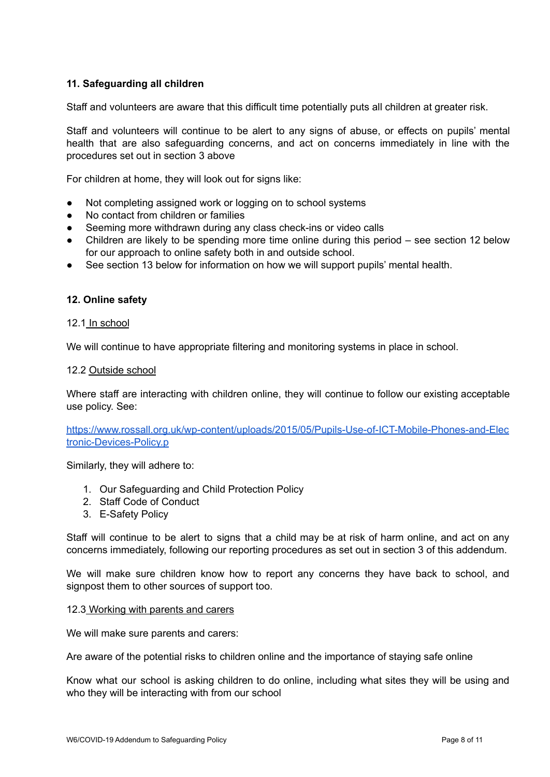### **11. Safeguarding all children**

Staff and volunteers are aware that this difficult time potentially puts all children at greater risk.

Staff and volunteers will continue to be alert to any signs of abuse, or effects on pupils' mental health that are also safeguarding concerns, and act on concerns immediately in line with the procedures set out in section 3 above

For children at home, they will look out for signs like:

- Not completing assigned work or logging on to school systems
- No contact from children or families
- Seeming more withdrawn during any class check-ins or video calls
- Children are likely to be spending more time online during this period see section 12 below for our approach to online safety both in and outside school.
- See section 13 below for information on how we will support pupils' mental health.

#### **12. Online safety**

#### 12.1 In school

We will continue to have appropriate filtering and monitoring systems in place in school.

#### 12.2 Outside school

Where staff are interacting with children online, they will continue to follow our existing acceptable use policy. See:

[https://www.rossall.org.uk/wp-content/uploads/2015/05/Pupils-Use-of-ICT-Mobile-Phones-and-Elec](https://www.rossall.org.uk/wp-content/uploads/2015/05/Pupils-Use-of-ICT-Mobile-Phones-and-Electronic-Devices-Policy.pdf) [tronic-Devices-Policy.p](https://www.rossall.org.uk/wp-content/uploads/2015/05/Pupils-Use-of-ICT-Mobile-Phones-and-Electronic-Devices-Policy.pdf)

Similarly, they will adhere to:

- 1. Our Safeguarding and Child Protection Policy
- 2. Staff Code of Conduct
- 3. E-Safety Policy

Staff will continue to be alert to signs that a child may be at risk of harm online, and act on any concerns immediately, following our reporting procedures as set out in section 3 of this addendum.

We will make sure children know how to report any concerns they have back to school, and signpost them to other sources of support too.

#### 12.3 Working with parents and carers

We will make sure parents and carers:

Are aware of the potential risks to children online and the importance of staying safe online

Know what our school is asking children to do online, including what sites they will be using and who they will be interacting with from our school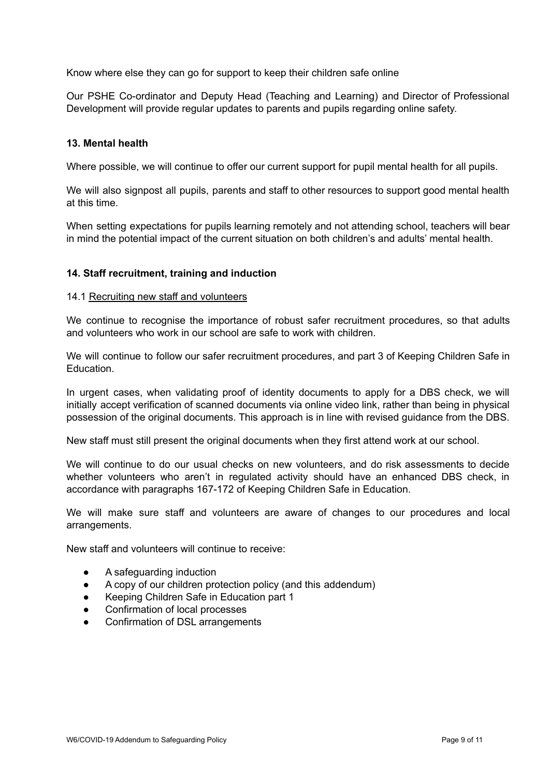Know where else they can go for support to keep their children safe online

Our PSHE Co-ordinator and Deputy Head (Teaching and Learning) and Director of Professional Development will provide regular updates to parents and pupils regarding online safety.

#### **13. Mental health**

Where possible, we will continue to offer our current support for pupil mental health for all pupils.

We will also signpost all pupils, parents and staff to other resources to support good mental health at this time.

When setting expectations for pupils learning remotely and not attending school, teachers will bear in mind the potential impact of the current situation on both children's and adults' mental health.

#### **14. Staff recruitment, training and induction**

#### 14.1 Recruiting new staff and volunteers

We continue to recognise the importance of robust safer recruitment procedures, so that adults and volunteers who work in our school are safe to work with children.

We will continue to follow our safer recruitment procedures, and part 3 of Keeping Children Safe in **Education** 

In urgent cases, when validating proof of identity documents to apply for a DBS check, we will initially accept verification of scanned documents via online video link, rather than being in physical possession of the original documents. This approach is in line with revised guidance from the DBS.

New staff must still present the original documents when they first attend work at our school.

We will continue to do our usual checks on new volunteers, and do risk assessments to decide whether volunteers who aren't in regulated activity should have an enhanced DBS check, in accordance with paragraphs 167-172 of Keeping Children Safe in Education.

We will make sure staff and volunteers are aware of changes to our procedures and local arrangements.

New staff and volunteers will continue to receive:

- A safeguarding induction
- A copy of our children protection policy (and this addendum)
- Keeping Children Safe in Education part 1
- Confirmation of local processes
- Confirmation of DSL arrangements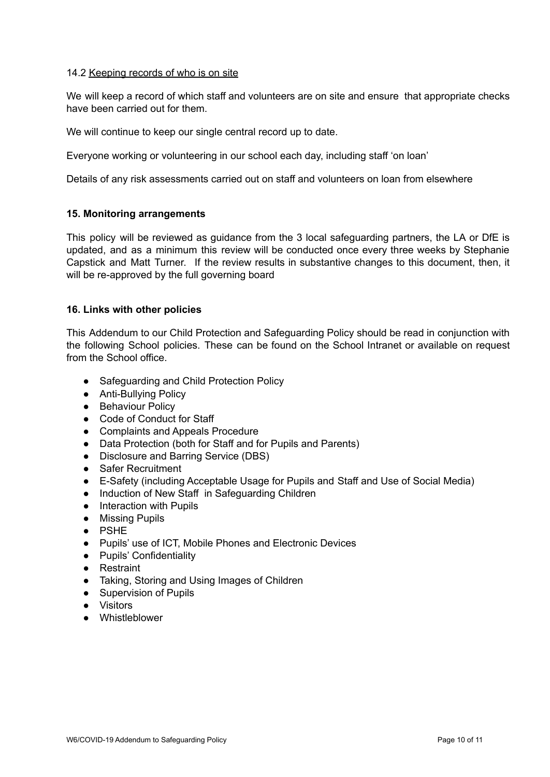#### 14.2 Keeping records of who is on site

We will keep a record of which staff and volunteers are on site and ensure that appropriate checks have been carried out for them.

We will continue to keep our single central record up to date.

Everyone working or volunteering in our school each day, including staff 'on loan'

Details of any risk assessments carried out on staff and volunteers on loan from elsewhere

#### **15. Monitoring arrangements**

This policy will be reviewed as guidance from the 3 local safeguarding partners, the LA or DfE is updated, and as a minimum this review will be conducted once every three weeks by Stephanie Capstick and Matt Turner. If the review results in substantive changes to this document, then, it will be re-approved by the full governing board

#### **16. Links with other policies**

This Addendum to our Child Protection and Safeguarding Policy should be read in conjunction with the following School policies. These can be found on the School Intranet or available on request from the School office.

- Safeguarding and Child Protection Policy
- Anti-Bullving Policy
- Behaviour Policy
- Code of Conduct for Staff
- Complaints and Appeals Procedure
- Data Protection (both for Staff and for Pupils and Parents)
- Disclosure and Barring Service (DBS)
- Safer Recruitment
- E-Safety (including Acceptable Usage for Pupils and Staff and Use of Social Media)
- Induction of New Staff in Safeguarding Children
- Interaction with Pupils
- Missing Pupils
- PSHE
- Pupils' use of ICT, Mobile Phones and Electronic Devices
- Pupils' Confidentiality
- Restraint
- Taking, Storing and Using Images of Children
- Supervision of Pupils
- Visitors
- Whistleblower